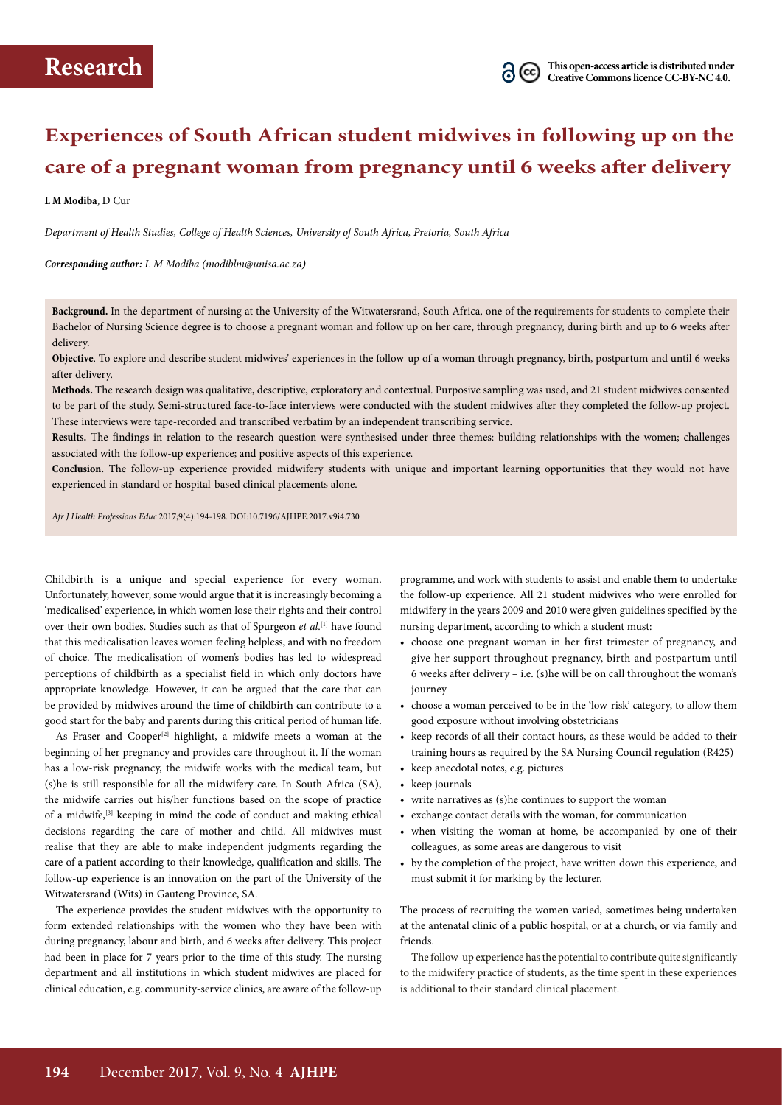# **Experiences of South African student midwives in following up on the care of a pregnant woman from pregnancy until 6 weeks after delivery**

#### **L M Modiba**, D Cur

*Department of Health Studies, College of Health Sciences, University of South Africa, Pretoria, South Africa*

#### *Corresponding author: L M Modiba (modiblm@unisa.ac.za)*

**Background.** In the department of nursing at the University of the Witwatersrand, South Africa, one of the requirements for students to complete their Bachelor of Nursing Science degree is to choose a pregnant woman and follow up on her care, through pregnancy, during birth and up to 6 weeks after delivery.

**Objective**. To explore and describe student midwives' experiences in the follow-up of a woman through pregnancy, birth, postpartum and until 6 weeks after delivery.

**Methods.** The research design was qualitative, descriptive, exploratory and contextual. Purposive sampling was used, and 21 student midwives consented to be part of the study. Semi-structured face-to-face interviews were conducted with the student midwives after they completed the follow-up project. These interviews were tape-recorded and transcribed verbatim by an independent transcribing service.

**Results.** The findings in relation to the research question were synthesised under three themes: building relationships with the women; challenges associated with the follow-up experience; and positive aspects of this experience.

**Conclusion.** The follow-up experience provided midwifery students with unique and important learning opportunities that they would not have experienced in standard or hospital-based clinical placements alone.

*Afr J Health Professions Educ* 2017;9(4):194-198. DOI:10.7196/AJHPE.2017.v9i4.730

Childbirth is a unique and special experience for every woman. Unfortunately, however, some would argue that it is increasingly becoming a 'medicalised' experience, in which women lose their rights and their control over their own bodies. Studies such as that of Spurgeon *et al*.<sup>[1]</sup> have found that this medicalisation leaves women feeling helpless, and with no freedom of choice. The medicalisation of women's bodies has led to widespread perceptions of childbirth as a specialist field in which only doctors have appropriate knowledge. However, it can be argued that the care that can be provided by midwives around the time of childbirth can contribute to a good start for the baby and parents during this critical period of human life.

As Fraser and Cooper<sup>[2]</sup> highlight, a midwife meets a woman at the beginning of her pregnancy and provides care throughout it. If the woman has a low-risk pregnancy, the midwife works with the medical team, but (s)he is still responsible for all the midwifery care. In South Africa (SA), the midwife carries out his/her functions based on the scope of practice of a midwife,<sup>[3]</sup> keeping in mind the code of conduct and making ethical decisions regarding the care of mother and child. All midwives must realise that they are able to make independent judgments regarding the care of a patient according to their knowledge, qualification and skills. The follow-up experience is an innovation on the part of the University of the Witwatersrand (Wits) in Gauteng Province, SA.

The experience provides the student midwives with the opportunity to form extended relationships with the women who they have been with during pregnancy, labour and birth, and 6 weeks after delivery. This project had been in place for 7 years prior to the time of this study. The nursing department and all institutions in which student midwives are placed for clinical education, e.g. community-service clinics, are aware of the follow-up

programme, and work with students to assist and enable them to undertake the follow-up experience. All 21 student midwives who were enrolled for midwifery in the years 2009 and 2010 were given guidelines specified by the nursing department, according to which a student must:

- choose one pregnant woman in her first trimester of pregnancy, and give her support throughout pregnancy, birth and postpartum until 6 weeks after delivery – i.e. (s)he will be on call throughout the woman's iourney
- choose a woman perceived to be in the 'low-risk' category, to allow them good exposure without involving obstetricians
- keep records of all their contact hours, as these would be added to their training hours as required by the SA Nursing Council regulation (R425)
- keep anecdotal notes, e.g. pictures
- keep journals
- write narratives as (s)he continues to support the woman
- exchange contact details with the woman, for communication
- when visiting the woman at home, be accompanied by one of their colleagues, as some areas are dangerous to visit
- by the completion of the project, have written down this experience, and must submit it for marking by the lecturer.

The process of recruiting the women varied, sometimes being undertaken at the antenatal clinic of a public hospital, or at a church, or via family and friends.

The follow-up experience has the potential to contribute quite significantly to the midwifery practice of students, as the time spent in these experiences is additional to their standard clinical placement.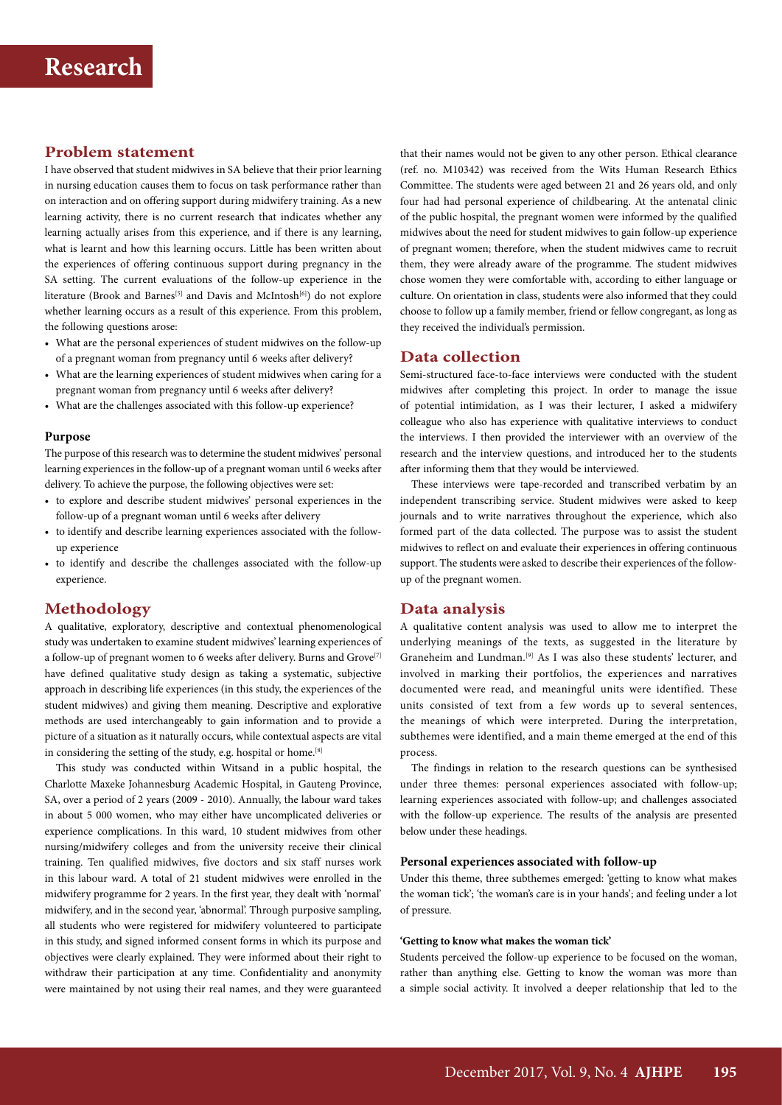# **Problem statement**

I have observed that student midwives in SA believe that their prior learning in nursing education causes them to focus on task performance rather than on interaction and on offering support during midwifery training. As a new learning activity, there is no current research that indicates whether any learning actually arises from this experience, and if there is any learning, what is learnt and how this learning occurs. Little has been written about the experiences of offering continuous support during pregnancy in the SA setting. The current evaluations of the follow-up experience in the literature (Brook and Barnes<sup>[5]</sup> and Davis and McIntosh<sup>[6]</sup>) do not explore whether learning occurs as a result of this experience. From this problem, the following questions arose:

- What are the personal experiences of student midwives on the follow-up of a pregnant woman from pregnancy until 6 weeks after delivery?
- What are the learning experiences of student midwives when caring for a pregnant woman from pregnancy until 6 weeks after delivery?
- What are the challenges associated with this follow-up experience?

## **Purpose**

The purpose of this research was to determine the student midwives' personal learning experiences in the follow-up of a pregnant woman until 6 weeks after delivery. To achieve the purpose, the following objectives were set:

- to explore and describe student midwives' personal experiences in the follow-up of a pregnant woman until 6 weeks after delivery
- to identify and describe learning experiences associated with the followup experience
- to identify and describe the challenges associated with the follow-up experience.

# **Methodology**

A qualitative, exploratory, descriptive and contextual phenomenological study was undertaken to examine student midwives' learning experiences of a follow-up of pregnant women to 6 weeks after delivery. Burns and Grove<sup>[7]</sup> have defined qualitative study design as taking a systematic, subjective approach in describing life experiences (in this study, the experiences of the student midwives) and giving them meaning. Descriptive and explorative methods are used interchangeably to gain information and to provide a picture of a situation as it naturally occurs, while contextual aspects are vital in considering the setting of the study, e.g. hospital or home.[8]

This study was conducted within Witsand in a public hospital, the Charlotte Maxeke Johannesburg Academic Hospital, in Gauteng Province, SA, over a period of 2 years (2009 - 2010). Annually, the labour ward takes in about 5 000 women, who may either have uncomplicated deliveries or experience complications. In this ward, 10 student midwives from other nursing/midwifery colleges and from the university receive their clinical training. Ten qualified midwives, five doctors and six staff nurses work in this labour ward. A total of 21 student midwives were enrolled in the midwifery programme for 2 years. In the first year, they dealt with 'normal' midwifery, and in the second year, 'abnormal'. Through purposive sampling, all students who were registered for midwifery volunteered to participate in this study, and signed informed consent forms in which its purpose and objectives were clearly explained. They were informed about their right to withdraw their participation at any time. Confidentiality and anonymity were maintained by not using their real names, and they were guaranteed

that their names would not be given to any other person. Ethical clearance (ref. no. M10342) was received from the Wits Human Research Ethics Committee. The students were aged between 21 and 26 years old, and only four had had personal experience of childbearing. At the antenatal clinic of the public hospital, the pregnant women were informed by the qualified midwives about the need for student midwives to gain follow-up experience of pregnant women; therefore, when the student midwives came to recruit them, they were already aware of the programme. The student midwives chose women they were comfortable with, according to either language or culture. On orientation in class, students were also informed that they could choose to follow up a family member, friend or fellow congregant, as long as they received the individual's permission.

# **Data collection**

Semi-structured face-to-face interviews were conducted with the student midwives after completing this project. In order to manage the issue of potential intimidation, as I was their lecturer, I asked a midwifery colleague who also has experience with qualitative interviews to conduct the interviews. I then provided the interviewer with an overview of the research and the interview questions, and introduced her to the students after informing them that they would be interviewed.

These interviews were tape-recorded and transcribed verbatim by an independent transcribing service. Student midwives were asked to keep journals and to write narratives throughout the experience, which also formed part of the data collected. The purpose was to assist the student midwives to reflect on and evaluate their experiences in offering continuous support. The students were asked to describe their experiences of the followup of the pregnant women.

# **Data analysis**

A qualitative content analysis was used to allow me to interpret the underlying meanings of the texts, as suggested in the literature by Graneheim and Lundman.[9] As I was also these students' lecturer, and involved in marking their portfolios, the experiences and narratives documented were read, and meaningful units were identified. These units consisted of text from a few words up to several sentences, the meanings of which were interpreted. During the interpretation, subthemes were identified, and a main theme emerged at the end of this process.

The findings in relation to the research questions can be synthesised under three themes: personal experiences associated with follow-up; learning experiences associated with follow-up; and challenges associated with the follow-up experience. The results of the analysis are presented below under these headings.

## **Personal experiences associated with follow-up**

Under this theme, three subthemes emerged: 'getting to know what makes the woman tick'; 'the woman's care is in your hands'; and feeling under a lot of pressure.

### **'Getting to know what makes the woman tick'**

Students perceived the follow-up experience to be focused on the woman, rather than anything else. Getting to know the woman was more than a simple social activity. It involved a deeper relationship that led to the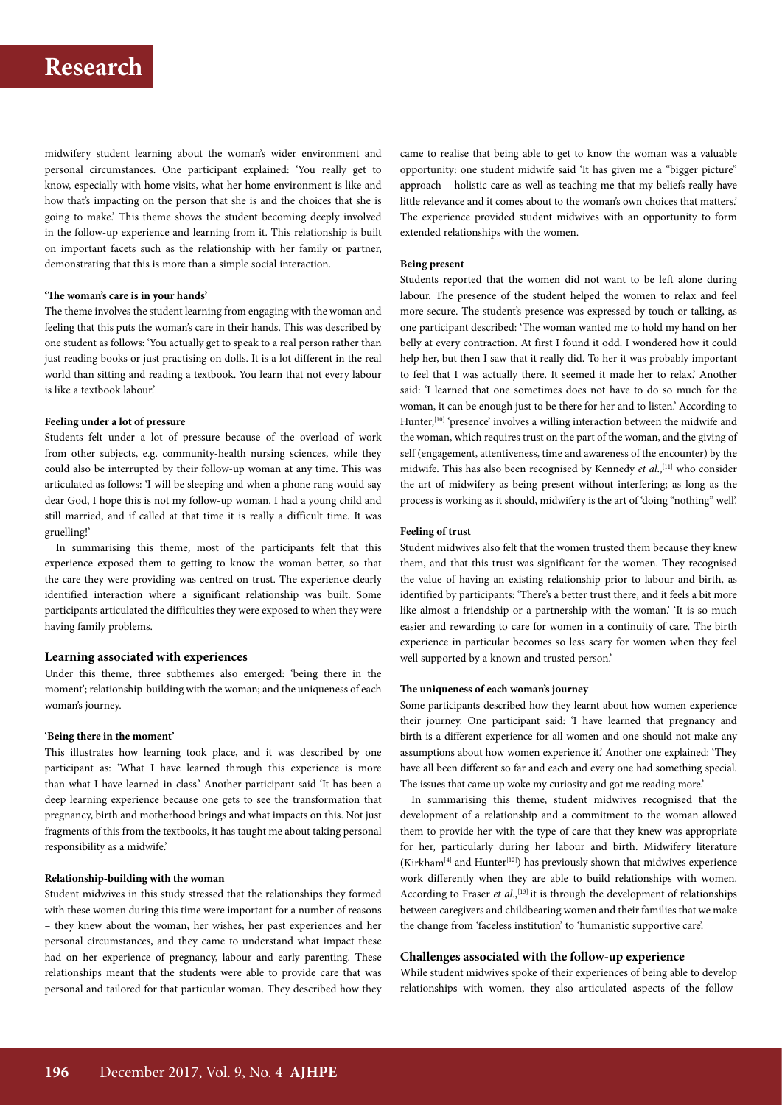# **Research**

midwifery student learning about the woman's wider environment and personal circumstances. One participant explained: 'You really get to know, especially with home visits, what her home environment is like and how that's impacting on the person that she is and the choices that she is going to make.' This theme shows the student becoming deeply involved in the follow-up experience and learning from it. This relationship is built on important facets such as the relationship with her family or partner, demonstrating that this is more than a simple social interaction.

## **'The woman's care is in your hands'**

The theme involves the student learning from engaging with the woman and feeling that this puts the woman's care in their hands. This was described by one student as follows: 'You actually get to speak to a real person rather than just reading books or just practising on dolls. It is a lot different in the real world than sitting and reading a textbook. You learn that not every labour is like a textbook labour.'

#### **Feeling under a lot of pressure**

Students felt under a lot of pressure because of the overload of work from other subjects, e.g. community-health nursing sciences, while they could also be interrupted by their follow-up woman at any time. This was articulated as follows: 'I will be sleeping and when a phone rang would say dear God, I hope this is not my follow-up woman. I had a young child and still married, and if called at that time it is really a difficult time. It was gruelling!'

In summarising this theme, most of the participants felt that this experience exposed them to getting to know the woman better, so that the care they were providing was centred on trust. The experience clearly identified interaction where a significant relationship was built. Some participants articulated the difficulties they were exposed to when they were having family problems.

# **Learning associated with experiences**

Under this theme, three subthemes also emerged: 'being there in the moment'; relationship-building with the woman; and the uniqueness of each woman's journey.

#### **'Being there in the moment'**

This illustrates how learning took place, and it was described by one participant as: 'What I have learned through this experience is more than what I have learned in class.' Another participant said 'It has been a deep learning experience because one gets to see the transformation that pregnancy, birth and motherhood brings and what impacts on this. Not just fragments of this from the textbooks, it has taught me about taking personal responsibility as a midwife.'

#### **Relationship-building with the woman**

Student midwives in this study stressed that the relationships they formed with these women during this time were important for a number of reasons – they knew about the woman, her wishes, her past experiences and her personal circumstances, and they came to understand what impact these had on her experience of pregnancy, labour and early parenting. These relationships meant that the students were able to provide care that was personal and tailored for that particular woman. They described how they

came to realise that being able to get to know the woman was a valuable opportunity: one student midwife said 'It has given me a "bigger picture" approach – holistic care as well as teaching me that my beliefs really have little relevance and it comes about to the woman's own choices that matters.' The experience provided student midwives with an opportunity to form extended relationships with the women.

#### **Being present**

Students reported that the women did not want to be left alone during labour. The presence of the student helped the women to relax and feel more secure. The student's presence was expressed by touch or talking, as one participant described: 'The woman wanted me to hold my hand on her belly at every contraction. At first I found it odd. I wondered how it could help her, but then I saw that it really did. To her it was probably important to feel that I was actually there. It seemed it made her to relax.' Another said: 'I learned that one sometimes does not have to do so much for the woman, it can be enough just to be there for her and to listen.' According to Hunter,<sup>[10]</sup> 'presence' involves a willing interaction between the midwife and the woman, which requires trust on the part of the woman, and the giving of self (engagement, attentiveness, time and awareness of the encounter) by the midwife. This has also been recognised by Kennedy *et al.*,<sup>[11]</sup> who consider the art of midwifery as being present without interfering; as long as the process is working as it should, midwifery is the art of 'doing "nothing" well'.

#### **Feeling of trust**

Student midwives also felt that the women trusted them because they knew them, and that this trust was significant for the women. They recognised the value of having an existing relationship prior to labour and birth, as identified by participants: 'There's a better trust there, and it feels a bit more like almost a friendship or a partnership with the woman.' 'It is so much easier and rewarding to care for women in a continuity of care. The birth experience in particular becomes so less scary for women when they feel well supported by a known and trusted person.'

### **The uniqueness of each woman's journey**

Some participants described how they learnt about how women experience their journey. One participant said: 'I have learned that pregnancy and birth is a different experience for all women and one should not make any assumptions about how women experience it.' Another one explained: 'They have all been different so far and each and every one had something special. The issues that came up woke my curiosity and got me reading more.'

In summarising this theme, student midwives recognised that the development of a relationship and a commitment to the woman allowed them to provide her with the type of care that they knew was appropriate for her, particularly during her labour and birth. Midwifery literature (Kirkham<sup>[4]</sup> and Hunter<sup>[12]</sup>) has previously shown that midwives experience work differently when they are able to build relationships with women. According to Fraser *et al.*,<sup>[13]</sup> it is through the development of relationships between caregivers and childbearing women and their families that we make the change from 'faceless institution' to 'humanistic supportive care'.

## **Challenges associated with the follow-up experience**

While student midwives spoke of their experiences of being able to develop relationships with women, they also articulated aspects of the follow-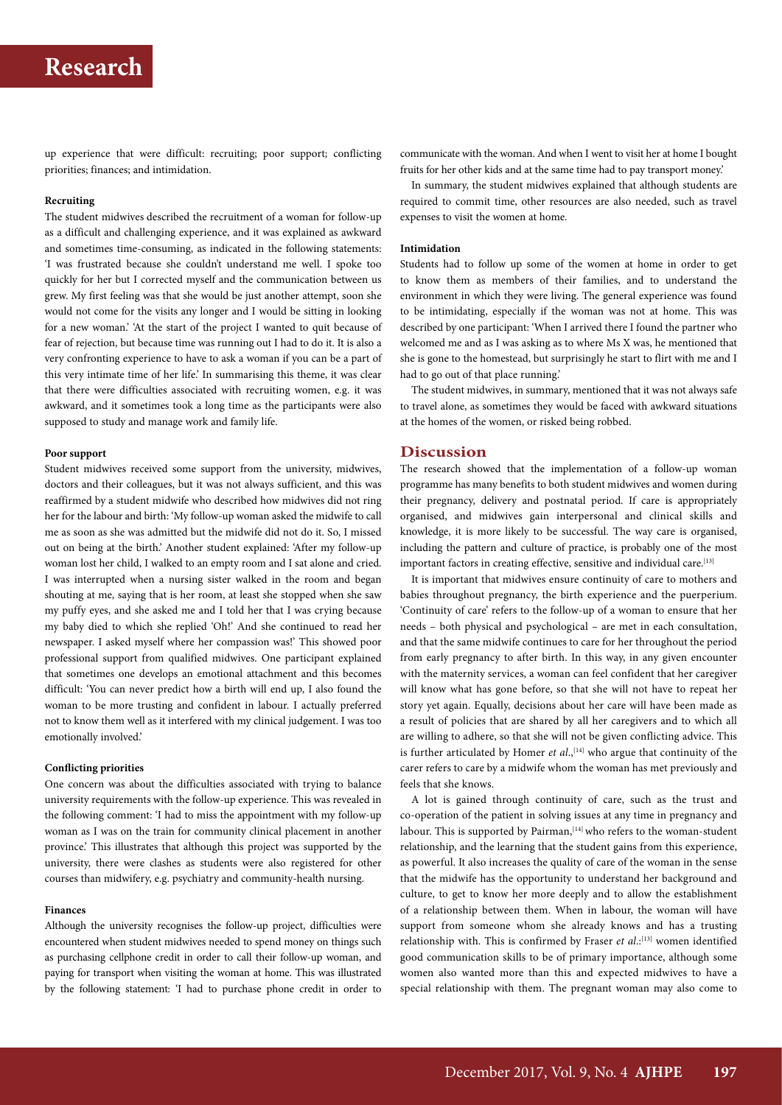# **Research**

up experience that were difficult: recruiting; poor support; conflicting priorities; finances; and intimidation.

#### **Recruiting**

The student midwives described the recruitment of a woman for follow-up as a difficult and challenging experience, and it was explained as awkward and sometimes time-consuming, as indicated in the following statements: 'I was frustrated because she couldn't understand me well. I spoke too quickly for her but I corrected myself and the communication between us grew. My first feeling was that she would be just another attempt, soon she would not come for the visits any longer and I would be sitting in looking for a new woman.' 'At the start of the project I wanted to quit because of fear of rejection, but because time was running out I had to do it. It is also a very confronting experience to have to ask a woman if you can be a part of this very intimate time of her life.' In summarising this theme, it was clear that there were difficulties associated with recruiting women, e.g. it was awkward, and it sometimes took a long time as the participants were also supposed to study and manage work and family life.

## **Poor support**

Student midwives received some support from the university, midwives, doctors and their colleagues, but it was not always sufficient, and this was reaffirmed by a student midwife who described how midwives did not ring her for the labour and birth: 'My follow-up woman asked the midwife to call me as soon as she was admitted but the midwife did not do it. So, I missed out on being at the birth.' Another student explained: 'After my follow-up woman lost her child, I walked to an empty room and I sat alone and cried. I was interrupted when a nursing sister walked in the room and began shouting at me, saying that is her room, at least she stopped when she saw my puffy eyes, and she asked me and I told her that I was crying because my baby died to which she replied 'Oh!' And she continued to read her newspaper. I asked myself where her compassion was!' This showed poor professional support from qualified midwives. One participant explained that sometimes one develops an emotional attachment and this becomes difficult: 'You can never predict how a birth will end up, I also found the woman to be more trusting and confident in labour. I actually preferred not to know them well as it interfered with my clinical judgement. I was too emotionally involved.'

#### **Conflicting priorities**

One concern was about the difficulties associated with trying to balance university requirements with the follow-up experience. This was revealed in the following comment: 'I had to miss the appointment with my follow-up woman as I was on the train for community clinical placement in another province.' This illustrates that although this project was supported by the university, there were clashes as students were also registered for other courses than midwifery, e.g. psychiatry and community-health nursing.

## **Finances**

Although the university recognises the follow-up project, difficulties were encountered when student midwives needed to spend money on things such as purchasing cellphone credit in order to call their follow-up woman, and paying for transport when visiting the woman at home. This was illustrated by the following statement: 'I had to purchase phone credit in order to communicate with the woman. And when I went to visit her at home I bought fruits for her other kids and at the same time had to pay transport money.'

In summary, the student midwives explained that although students are required to commit time, other resources are also needed, such as travel expenses to visit the women at home.

#### **Intimidation**

Students had to follow up some of the women at home in order to get to know them as members of their families, and to understand the environment in which they were living. The general experience was found to be intimidating, especially if the woman was not at home. This was described by one participant: 'When I arrived there I found the partner who welcomed me and as I was asking as to where Ms X was, he mentioned that she is gone to the homestead, but surprisingly he start to flirt with me and I had to go out of that place running.'

The student midwives, in summary, mentioned that it was not always safe to travel alone, as sometimes they would be faced with awkward situations at the homes of the women, or risked being robbed.

# **Discussion**

The research showed that the implementation of a follow-up woman programme has many benefits to both student midwives and women during their pregnancy, delivery and postnatal period. If care is appropriately organised, and midwives gain interpersonal and clinical skills and knowledge, it is more likely to be successful. The way care is organised, including the pattern and culture of practice, is probably one of the most important factors in creating effective, sensitive and individual care.<sup>[13]</sup>

It is important that midwives ensure continuity of care to mothers and babies throughout pregnancy, the birth experience and the puerperium. 'Continuity of care' refers to the follow-up of a woman to ensure that her needs – both physical and psychological – are met in each consultation, and that the same midwife continues to care for her throughout the period from early pregnancy to after birth. In this way, in any given encounter with the maternity services, a woman can feel confident that her caregiver will know what has gone before, so that she will not have to repeat her story yet again. Equally, decisions about her care will have been made as a result of policies that are shared by all her caregivers and to which all are willing to adhere, so that she will not be given conflicting advice. This is further articulated by Homer *et al.*,<sup>[14]</sup> who argue that continuity of the carer refers to care by a midwife whom the woman has met previously and feels that she knows.

A lot is gained through continuity of care, such as the trust and co-operation of the patient in solving issues at any time in pregnancy and labour. This is supported by Pairman,<sup>[14]</sup> who refers to the woman-student relationship, and the learning that the student gains from this experience, as powerful. It also increases the quality of care of the woman in the sense that the midwife has the opportunity to understand her background and culture, to get to know her more deeply and to allow the establishment of a relationship between them. When in labour, the woman will have support from someone whom she already knows and has a trusting relationship with. This is confirmed by Fraser *et al*.:<sup>[13]</sup> women identified good communication skills to be of primary importance, although some women also wanted more than this and expected midwives to have a special relationship with them. The pregnant woman may also come to